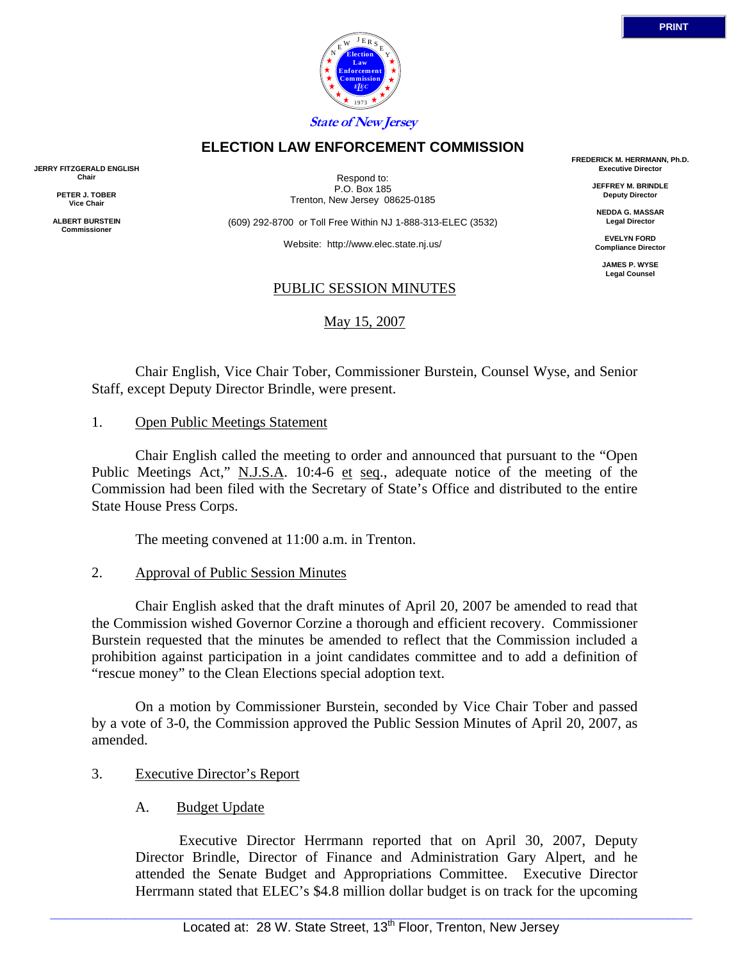

### **ELECTION LAW ENFORCEMENT COMMISSION**

**JERRY FITZGERALD ENGLISH Chair** 

> **PETER J. TOBER Vice Chair**

**ALBERT BURSTEIN Commissioner** 

Respond to: P.O. Box 185 Trenton, New Jersey 08625-0185

(609) 292-8700 or Toll Free Within NJ 1-888-313-ELEC (3532)

Website: http://www.elec.state.nj.us/

### PUBLIC SESSION MINUTES

### May 15, 2007

**FREDERICK M. HERRMANN, Ph.D. Executive Director** 

> **JEFFREY M. BRINDLE Deputy Director**

**NEDDA G. MASSAR Legal Director** 

**EVELYN FORD Compliance Director** 

> **JAMES P. WYSE Legal Counsel**

Chair English, Vice Chair Tober, Commissioner Burstein, Counsel Wyse, and Senior Staff, except Deputy Director Brindle, were present.

#### 1. Open Public Meetings Statement

Chair English called the meeting to order and announced that pursuant to the "Open Public Meetings Act," N.J.S.A. 10:4-6 et seq., adequate notice of the meeting of the Commission had been filed with the Secretary of State's Office and distributed to the entire State House Press Corps.

The meeting convened at 11:00 a.m. in Trenton.

### 2. Approval of Public Session Minutes

Chair English asked that the draft minutes of April 20, 2007 be amended to read that the Commission wished Governor Corzine a thorough and efficient recovery. Commissioner Burstein requested that the minutes be amended to reflect that the Commission included a prohibition against participation in a joint candidates committee and to add a definition of "rescue money" to the Clean Elections special adoption text.

On a motion by Commissioner Burstein, seconded by Vice Chair Tober and passed by a vote of 3-0, the Commission approved the Public Session Minutes of April 20, 2007, as amended.

### 3. Executive Director's Report

# A. Budget Update

Executive Director Herrmann reported that on April 30, 2007, Deputy Director Brindle, Director of Finance and Administration Gary Alpert, and he attended the Senate Budget and Appropriations Committee. Executive Director Herrmann stated that ELEC's \$4.8 million dollar budget is on track for the upcoming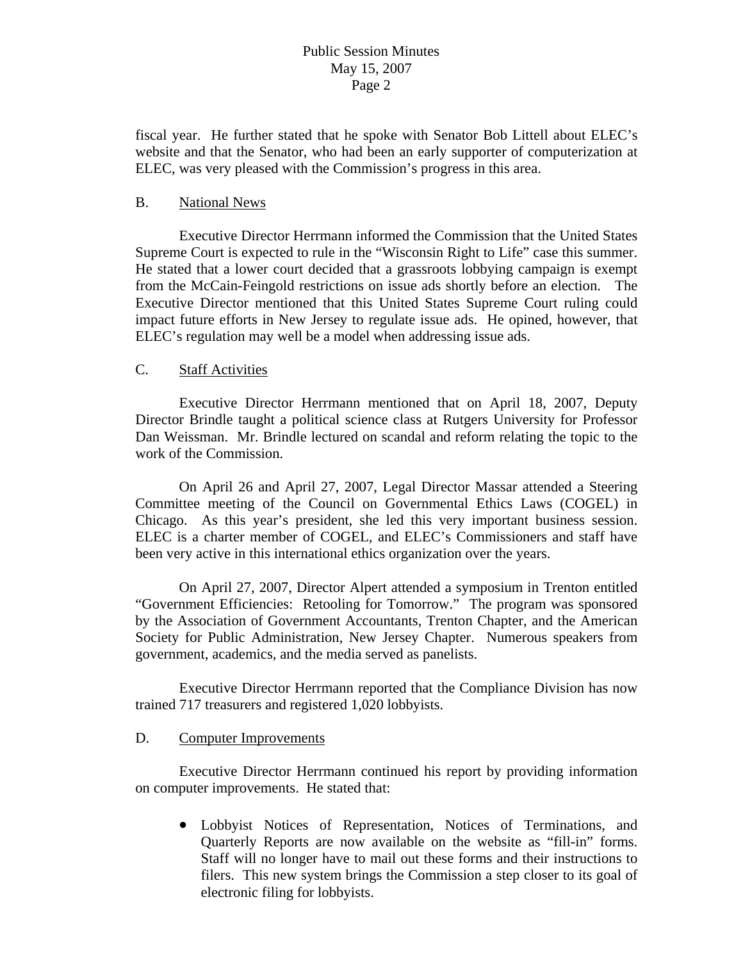fiscal year. He further stated that he spoke with Senator Bob Littell about ELEC's website and that the Senator, who had been an early supporter of computerization at ELEC, was very pleased with the Commission's progress in this area.

#### B. National News

 Executive Director Herrmann informed the Commission that the United States Supreme Court is expected to rule in the "Wisconsin Right to Life" case this summer. He stated that a lower court decided that a grassroots lobbying campaign is exempt from the McCain-Feingold restrictions on issue ads shortly before an election. The Executive Director mentioned that this United States Supreme Court ruling could impact future efforts in New Jersey to regulate issue ads. He opined, however, that ELEC's regulation may well be a model when addressing issue ads.

#### C. Staff Activities

 Executive Director Herrmann mentioned that on April 18, 2007, Deputy Director Brindle taught a political science class at Rutgers University for Professor Dan Weissman. Mr. Brindle lectured on scandal and reform relating the topic to the work of the Commission.

 On April 26 and April 27, 2007, Legal Director Massar attended a Steering Committee meeting of the Council on Governmental Ethics Laws (COGEL) in Chicago. As this year's president, she led this very important business session. ELEC is a charter member of COGEL, and ELEC's Commissioners and staff have been very active in this international ethics organization over the years.

 On April 27, 2007, Director Alpert attended a symposium in Trenton entitled "Government Efficiencies: Retooling for Tomorrow." The program was sponsored by the Association of Government Accountants, Trenton Chapter, and the American Society for Public Administration, New Jersey Chapter. Numerous speakers from government, academics, and the media served as panelists.

 Executive Director Herrmann reported that the Compliance Division has now trained 717 treasurers and registered 1,020 lobbyists.

### D. Computer Improvements

 Executive Director Herrmann continued his report by providing information on computer improvements. He stated that:

• Lobbyist Notices of Representation, Notices of Terminations, and Quarterly Reports are now available on the website as "fill-in" forms. Staff will no longer have to mail out these forms and their instructions to filers. This new system brings the Commission a step closer to its goal of electronic filing for lobbyists.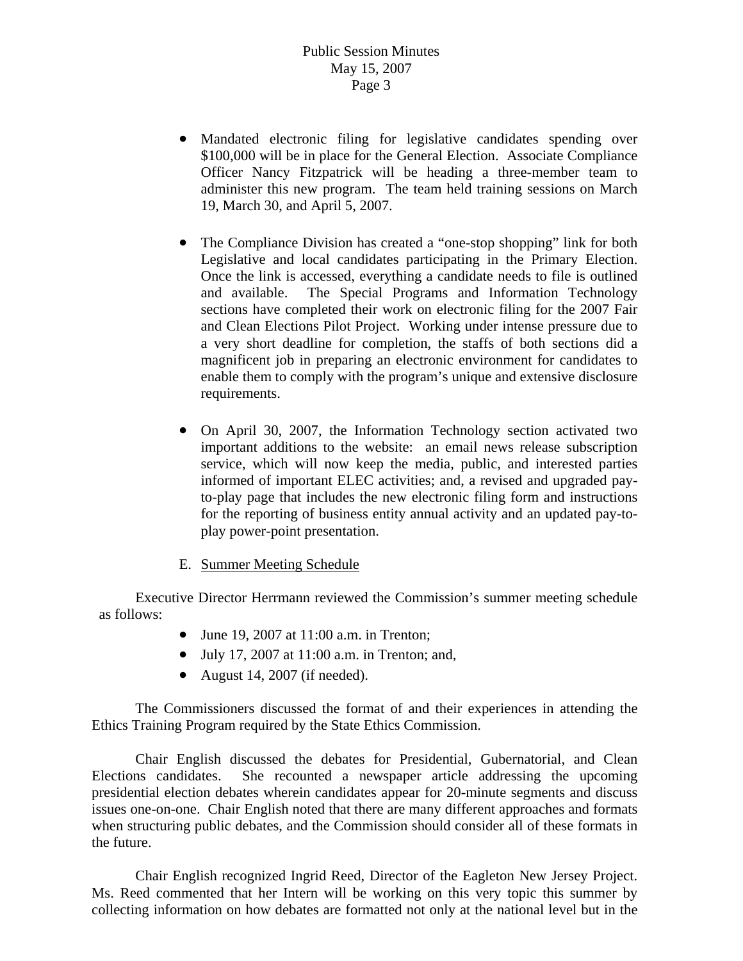- Mandated electronic filing for legislative candidates spending over \$100,000 will be in place for the General Election. Associate Compliance Officer Nancy Fitzpatrick will be heading a three-member team to administer this new program. The team held training sessions on March 19, March 30, and April 5, 2007.
- The Compliance Division has created a "one-stop shopping" link for both Legislative and local candidates participating in the Primary Election. Once the link is accessed, everything a candidate needs to file is outlined and available. The Special Programs and Information Technology sections have completed their work on electronic filing for the 2007 Fair and Clean Elections Pilot Project. Working under intense pressure due to a very short deadline for completion, the staffs of both sections did a magnificent job in preparing an electronic environment for candidates to enable them to comply with the program's unique and extensive disclosure requirements.
- On April 30, 2007, the Information Technology section activated two important additions to the website: an email news release subscription service, which will now keep the media, public, and interested parties informed of important ELEC activities; and, a revised and upgraded payto-play page that includes the new electronic filing form and instructions for the reporting of business entity annual activity and an updated pay-toplay power-point presentation.
- E. Summer Meeting Schedule

 Executive Director Herrmann reviewed the Commission's summer meeting schedule as follows:

- June 19, 2007 at 11:00 a.m. in Trenton;
- July 17, 2007 at 11:00 a.m. in Trenton; and,
- August 14, 2007 (if needed).

 The Commissioners discussed the format of and their experiences in attending the Ethics Training Program required by the State Ethics Commission.

 Chair English discussed the debates for Presidential, Gubernatorial, and Clean Elections candidates. She recounted a newspaper article addressing the upcoming presidential election debates wherein candidates appear for 20-minute segments and discuss issues one-on-one. Chair English noted that there are many different approaches and formats when structuring public debates, and the Commission should consider all of these formats in the future.

 Chair English recognized Ingrid Reed, Director of the Eagleton New Jersey Project. Ms. Reed commented that her Intern will be working on this very topic this summer by collecting information on how debates are formatted not only at the national level but in the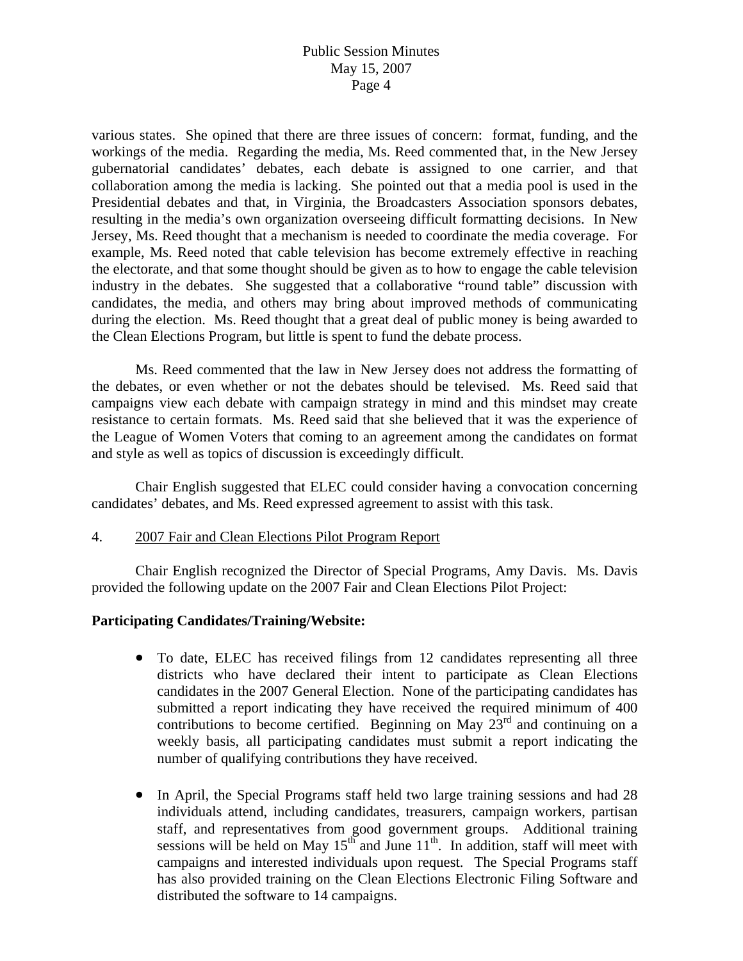various states. She opined that there are three issues of concern: format, funding, and the workings of the media. Regarding the media, Ms. Reed commented that, in the New Jersey gubernatorial candidates' debates, each debate is assigned to one carrier, and that collaboration among the media is lacking. She pointed out that a media pool is used in the Presidential debates and that, in Virginia, the Broadcasters Association sponsors debates, resulting in the media's own organization overseeing difficult formatting decisions. In New Jersey, Ms. Reed thought that a mechanism is needed to coordinate the media coverage. For example, Ms. Reed noted that cable television has become extremely effective in reaching the electorate, and that some thought should be given as to how to engage the cable television industry in the debates. She suggested that a collaborative "round table" discussion with candidates, the media, and others may bring about improved methods of communicating during the election. Ms. Reed thought that a great deal of public money is being awarded to the Clean Elections Program, but little is spent to fund the debate process.

 Ms. Reed commented that the law in New Jersey does not address the formatting of the debates, or even whether or not the debates should be televised. Ms. Reed said that campaigns view each debate with campaign strategy in mind and this mindset may create resistance to certain formats. Ms. Reed said that she believed that it was the experience of the League of Women Voters that coming to an agreement among the candidates on format and style as well as topics of discussion is exceedingly difficult.

 Chair English suggested that ELEC could consider having a convocation concerning candidates' debates, and Ms. Reed expressed agreement to assist with this task.

### 4. 2007 Fair and Clean Elections Pilot Program Report

 Chair English recognized the Director of Special Programs, Amy Davis. Ms. Davis provided the following update on the 2007 Fair and Clean Elections Pilot Project:

### **Participating Candidates/Training/Website:**

- To date, ELEC has received filings from 12 candidates representing all three districts who have declared their intent to participate as Clean Elections candidates in the 2007 General Election. None of the participating candidates has submitted a report indicating they have received the required minimum of 400 contributions to become certified. Beginning on May  $23<sup>rd</sup>$  and continuing on a weekly basis, all participating candidates must submit a report indicating the number of qualifying contributions they have received.
- In April, the Special Programs staff held two large training sessions and had 28 individuals attend, including candidates, treasurers, campaign workers, partisan staff, and representatives from good government groups. Additional training sessions will be held on May  $15^{th}$  and June  $11^{th}$ . In addition, staff will meet with campaigns and interested individuals upon request. The Special Programs staff has also provided training on the Clean Elections Electronic Filing Software and distributed the software to 14 campaigns.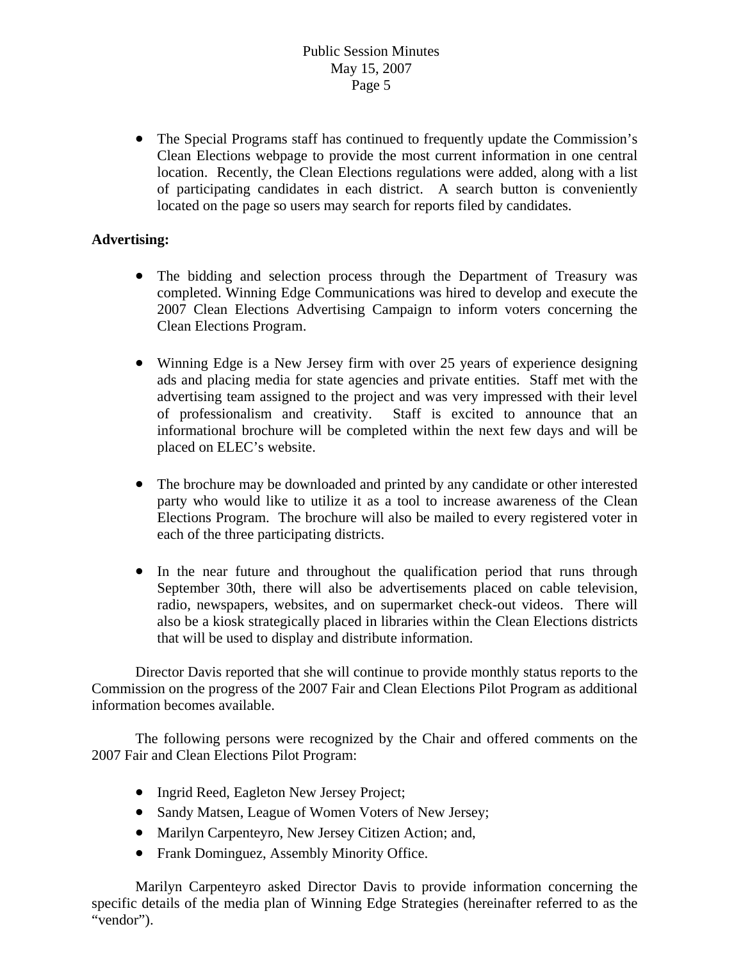• The Special Programs staff has continued to frequently update the Commission's Clean Elections webpage to provide the most current information in one central location. Recently, the Clean Elections regulations were added, along with a list of participating candidates in each district. A search button is conveniently located on the page so users may search for reports filed by candidates.

## **Advertising:**

- The bidding and selection process through the Department of Treasury was completed. Winning Edge Communications was hired to develop and execute the 2007 Clean Elections Advertising Campaign to inform voters concerning the Clean Elections Program.
- Winning Edge is a New Jersey firm with over 25 years of experience designing ads and placing media for state agencies and private entities. Staff met with the advertising team assigned to the project and was very impressed with their level of professionalism and creativity. Staff is excited to announce that an informational brochure will be completed within the next few days and will be placed on ELEC's website.
- The brochure may be downloaded and printed by any candidate or other interested party who would like to utilize it as a tool to increase awareness of the Clean Elections Program. The brochure will also be mailed to every registered voter in each of the three participating districts.
- In the near future and throughout the qualification period that runs through September 30th, there will also be advertisements placed on cable television, radio, newspapers, websites, and on supermarket check-out videos. There will also be a kiosk strategically placed in libraries within the Clean Elections districts that will be used to display and distribute information.

 Director Davis reported that she will continue to provide monthly status reports to the Commission on the progress of the 2007 Fair and Clean Elections Pilot Program as additional information becomes available.

 The following persons were recognized by the Chair and offered comments on the 2007 Fair and Clean Elections Pilot Program:

- Ingrid Reed, Eagleton New Jersey Project;
- Sandy Matsen, League of Women Voters of New Jersey;
- Marilyn Carpenteyro, New Jersey Citizen Action; and,
- Frank Dominguez, Assembly Minority Office.

 Marilyn Carpenteyro asked Director Davis to provide information concerning the specific details of the media plan of Winning Edge Strategies (hereinafter referred to as the "vendor").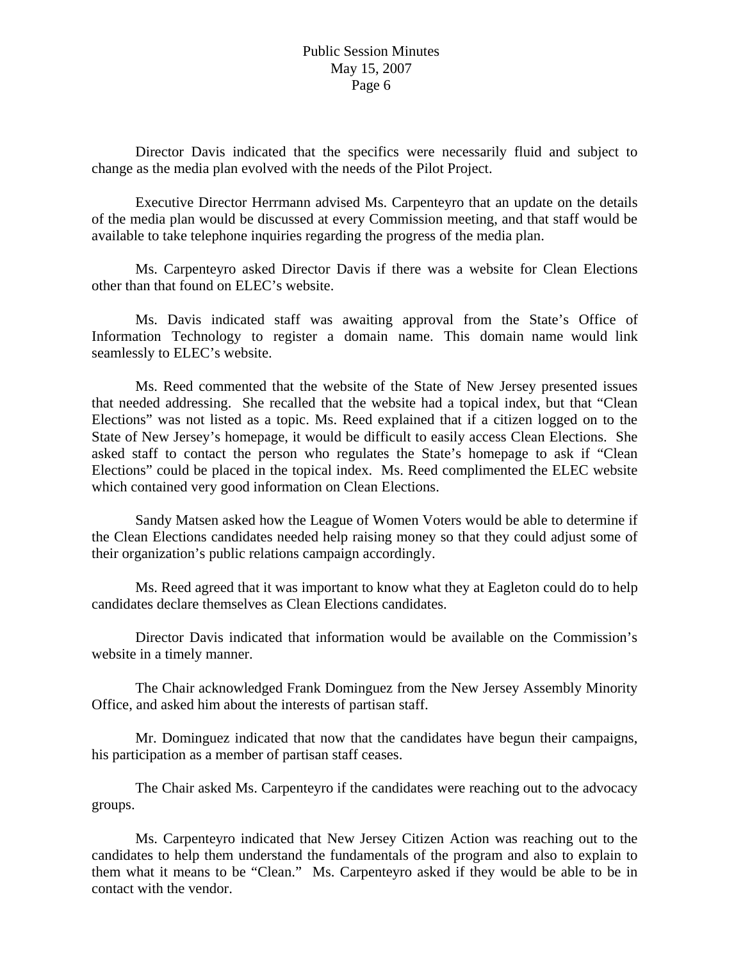Director Davis indicated that the specifics were necessarily fluid and subject to change as the media plan evolved with the needs of the Pilot Project.

Executive Director Herrmann advised Ms. Carpenteyro that an update on the details of the media plan would be discussed at every Commission meeting, and that staff would be available to take telephone inquiries regarding the progress of the media plan.

Ms. Carpenteyro asked Director Davis if there was a website for Clean Elections other than that found on ELEC's website.

Ms. Davis indicated staff was awaiting approval from the State's Office of Information Technology to register a domain name. This domain name would link seamlessly to ELEC's website.

Ms. Reed commented that the website of the State of New Jersey presented issues that needed addressing. She recalled that the website had a topical index, but that "Clean Elections" was not listed as a topic. Ms. Reed explained that if a citizen logged on to the State of New Jersey's homepage, it would be difficult to easily access Clean Elections. She asked staff to contact the person who regulates the State's homepage to ask if "Clean Elections" could be placed in the topical index. Ms. Reed complimented the ELEC website which contained very good information on Clean Elections.

Sandy Matsen asked how the League of Women Voters would be able to determine if the Clean Elections candidates needed help raising money so that they could adjust some of their organization's public relations campaign accordingly.

Ms. Reed agreed that it was important to know what they at Eagleton could do to help candidates declare themselves as Clean Elections candidates.

Director Davis indicated that information would be available on the Commission's website in a timely manner.

The Chair acknowledged Frank Dominguez from the New Jersey Assembly Minority Office, and asked him about the interests of partisan staff.

Mr. Dominguez indicated that now that the candidates have begun their campaigns, his participation as a member of partisan staff ceases.

The Chair asked Ms. Carpenteyro if the candidates were reaching out to the advocacy groups.

Ms. Carpenteyro indicated that New Jersey Citizen Action was reaching out to the candidates to help them understand the fundamentals of the program and also to explain to them what it means to be "Clean." Ms. Carpenteyro asked if they would be able to be in contact with the vendor.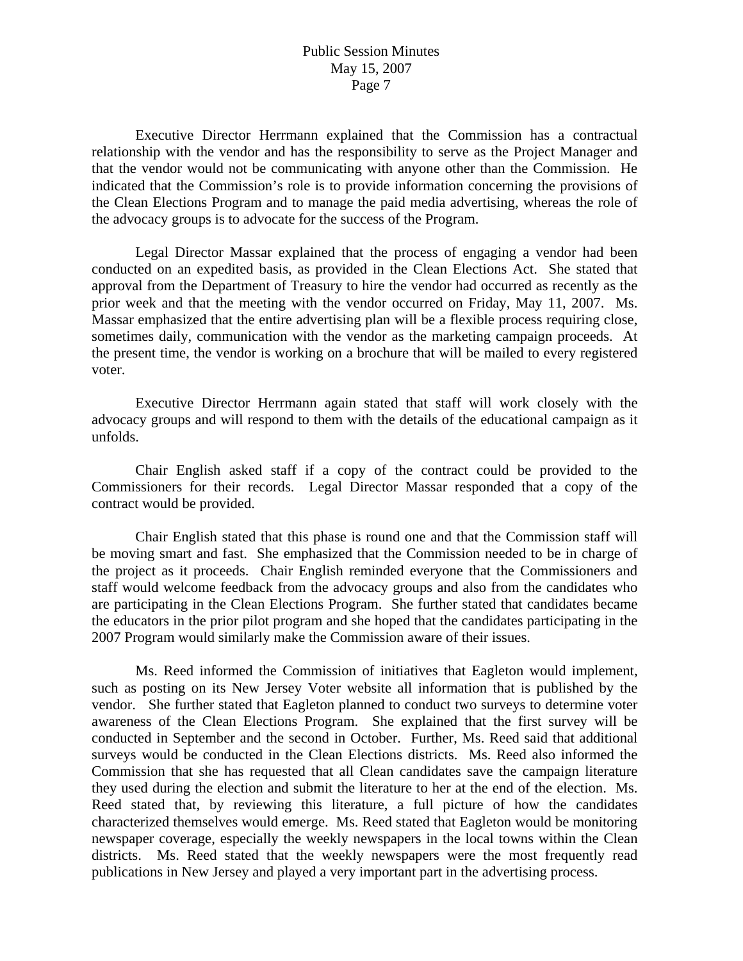Executive Director Herrmann explained that the Commission has a contractual relationship with the vendor and has the responsibility to serve as the Project Manager and that the vendor would not be communicating with anyone other than the Commission. He indicated that the Commission's role is to provide information concerning the provisions of the Clean Elections Program and to manage the paid media advertising, whereas the role of the advocacy groups is to advocate for the success of the Program.

 Legal Director Massar explained that the process of engaging a vendor had been conducted on an expedited basis, as provided in the Clean Elections Act. She stated that approval from the Department of Treasury to hire the vendor had occurred as recently as the prior week and that the meeting with the vendor occurred on Friday, May 11, 2007. Ms. Massar emphasized that the entire advertising plan will be a flexible process requiring close, sometimes daily, communication with the vendor as the marketing campaign proceeds. At the present time, the vendor is working on a brochure that will be mailed to every registered voter.

 Executive Director Herrmann again stated that staff will work closely with the advocacy groups and will respond to them with the details of the educational campaign as it unfolds.

 Chair English asked staff if a copy of the contract could be provided to the Commissioners for their records. Legal Director Massar responded that a copy of the contract would be provided.

 Chair English stated that this phase is round one and that the Commission staff will be moving smart and fast. She emphasized that the Commission needed to be in charge of the project as it proceeds. Chair English reminded everyone that the Commissioners and staff would welcome feedback from the advocacy groups and also from the candidates who are participating in the Clean Elections Program. She further stated that candidates became the educators in the prior pilot program and she hoped that the candidates participating in the 2007 Program would similarly make the Commission aware of their issues.

 Ms. Reed informed the Commission of initiatives that Eagleton would implement, such as posting on its New Jersey Voter website all information that is published by the vendor. She further stated that Eagleton planned to conduct two surveys to determine voter awareness of the Clean Elections Program. She explained that the first survey will be conducted in September and the second in October. Further, Ms. Reed said that additional surveys would be conducted in the Clean Elections districts. Ms. Reed also informed the Commission that she has requested that all Clean candidates save the campaign literature they used during the election and submit the literature to her at the end of the election. Ms. Reed stated that, by reviewing this literature, a full picture of how the candidates characterized themselves would emerge. Ms. Reed stated that Eagleton would be monitoring newspaper coverage, especially the weekly newspapers in the local towns within the Clean districts. Ms. Reed stated that the weekly newspapers were the most frequently read publications in New Jersey and played a very important part in the advertising process.